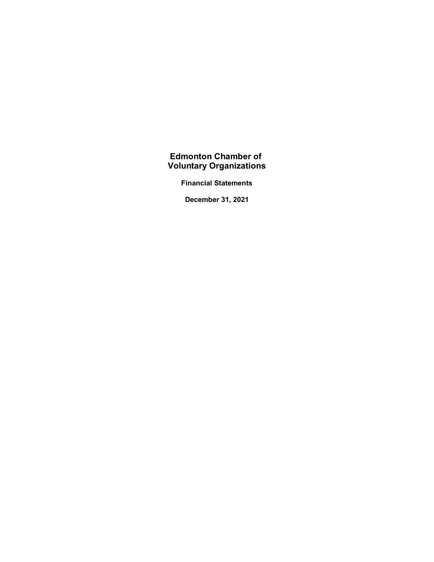**Financial Statements**

**December 31, 2021**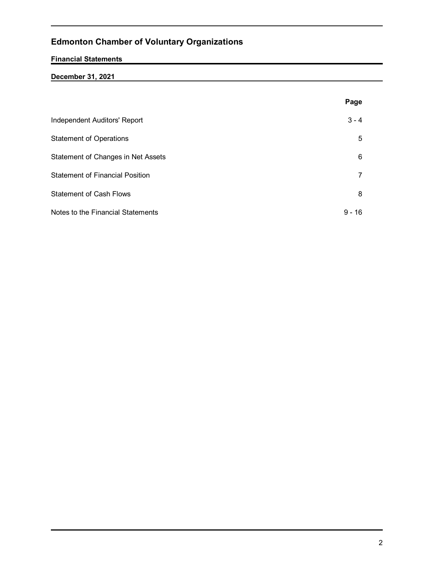# **Financial Statements**

# **December 31, 2021**

|                                        | Page      |
|----------------------------------------|-----------|
| Independent Auditors' Report           | $3 - 4$   |
| <b>Statement of Operations</b>         | 5         |
| Statement of Changes in Net Assets     | 6         |
| <b>Statement of Financial Position</b> | 7         |
| <b>Statement of Cash Flows</b>         | 8         |
| Notes to the Financial Statements      | 9 -<br>16 |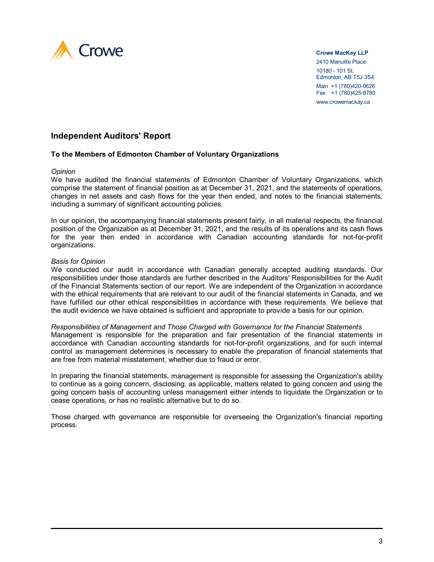

#### **Crowe MacKay LLP**

2410 Manulife Place 10180 - 101 St. Edmonton, AB T5J 3S4 Main +1 (780)420-0626 Fax +1 (780)425-8780 www.crowemackay.ca

# **Independent Auditors' Report**

### **To the Members of Edmonton Chamber of Voluntary Organizations**

#### *Opinion*

We have audited the financial statements of Edmonton Chamber of Voluntary Organizations, which comprise the statement of financial position as at December 31, 2021, and the statements of operations, changes in net assets and cash flows for the year then ended, and notes to the financial statements, including a summary of significant accounting policies.

In our opinion, the accompanying financial statements present fairly, in all material respects, the financial position of the Organization as at December 31, 2021, and the results of its operations and its cash flows for the year then ended in accordance with Canadian accounting standards for not-for-profit organizations.

#### *Basis for Opinion*

We conducted our audit in accordance with Canadian generally accepted auditing standards. Our responsibilities under those standards are further described in the Auditors' Responsibilities for the Audit of the Financial Statements section of our report. We are independent of the Organization in accordance with the ethical requirements that are relevant to our audit of the financial statements in Canada, and we have fulfilled our other ethical responsibilities in accordance with these requirements. We believe that the audit evidence we have obtained is sufficient and appropriate to provide a basis for our opinion.

#### *Responsibilities of Management and Those Charged with Governance for the Financial Statements*

Management is responsible for the preparation and fair presentation of the financial statements in accordance with Canadian accounting standards for not-for-profit organizations, and for such internal control as management determines is necessary to enable the preparation of financial statements that are free from material misstatement, whether due to fraud or error.

In preparing the financial statements, management is responsible for assessing the Organization's ability to continue as a going concern, disclosing, as applicable, matters related to going concern and using the going concern basis of accounting unless management either intends to liquidate the Organization or to cease operations, or has no realistic alternative but to do so.

Those charged with governance are responsible for overseeing the Organization's financial reporting process.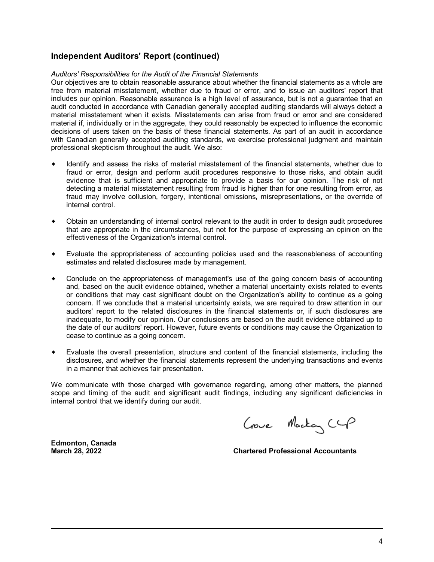# **Independent Auditors' Report (continued)**

#### *Auditors' Responsibilities for the Audit of the Financial Statements*

Our objectives are to obtain reasonable assurance about whether the financial statements as a whole are free from material misstatement, whether due to fraud or error, and to issue an auditors' report that includes our opinion. Reasonable assurance is a high level of assurance, but is not a guarantee that an audit conducted in accordance with Canadian generally accepted auditing standards will always detect a material misstatement when it exists. Misstatements can arise from fraud or error and are considered material if, individually or in the aggregate, they could reasonably be expected to influence the economic decisions of users taken on the basis of these financial statements. As part of an audit in accordance with Canadian generally accepted auditing standards, we exercise professional judgment and maintain professional skepticism throughout the audit. We also:

- Identify and assess the risks of material misstatement of the financial statements, whether due to fraud or error, design and perform audit procedures responsive to those risks, and obtain audit evidence that is sufficient and appropriate to provide a basis for our opinion. The risk of not detecting a material misstatement resulting from fraud is higher than for one resulting from error, as fraud may involve collusion, forgery, intentional omissions, misrepresentations, or the override of internal control.
- Obtain an understanding of internal control relevant to the audit in order to design audit procedures that are appropriate in the circumstances, but not for the purpose of expressing an opinion on the effectiveness of the Organization's internal control.
- w Evaluate the appropriateness of accounting policies used and the reasonableness of accounting estimates and related disclosures made by management.
- Conclude on the appropriateness of management's use of the going concern basis of accounting and, based on the audit evidence obtained, whether a material uncertainty exists related to events or conditions that may cast significant doubt on the Organization's ability to continue as a going concern. If we conclude that a material uncertainty exists, we are required to draw attention in our auditors' report to the related disclosures in the financial statements or, if such disclosures are inadequate, to modify our opinion. Our conclusions are based on the audit evidence obtained up to the date of our auditors' report. However, future events or conditions may cause the Organization to cease to continue as a going concern.
- Evaluate the overall presentation, structure and content of the financial statements, including the disclosures, and whether the financial statements represent the underlying transactions and events in a manner that achieves fair presentation.

We communicate with those charged with governance regarding, among other matters, the planned scope and timing of the audit and significant audit findings, including any significant deficiencies in internal control that we identify during our audit.

**Edmonton, Canada**

Crowe Mackay CGP

**March 28, 2022 Chartered Professional Accountants**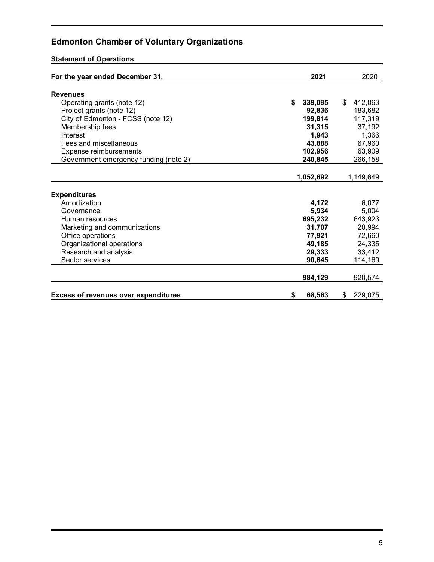# **Statement of Operations**

| For the year ended December 31,             | 2021          | 2020          |
|---------------------------------------------|---------------|---------------|
| <b>Revenues</b>                             |               |               |
| Operating grants (note 12)                  | \$<br>339,095 | 412,063<br>\$ |
| Project grants (note 12)                    | 92,836        | 183,682       |
| City of Edmonton - FCSS (note 12)           | 199,814       | 117,319       |
| Membership fees                             | 31,315        | 37,192        |
| Interest                                    | 1,943         | 1,366         |
| Fees and miscellaneous                      | 43,888        | 67,960        |
| Expense reimbursements                      | 102,956       | 63,909        |
| Government emergency funding (note 2)       | 240,845       | 266,158       |
|                                             |               |               |
|                                             | 1,052,692     | 1,149,649     |
|                                             |               |               |
| <b>Expenditures</b>                         |               |               |
| Amortization                                | 4,172         | 6,077         |
| Governance                                  | 5,934         | 5,004         |
| Human resources                             | 695,232       | 643,923       |
| Marketing and communications                | 31,707        | 20,994        |
| Office operations                           | 77,921        | 72,660        |
| Organizational operations                   | 49,185        | 24,335        |
| Research and analysis                       | 29,333        | 33,412        |
| Sector services                             | 90,645        | 114,169       |
|                                             |               |               |
|                                             | 984,129       | 920,574       |
|                                             |               |               |
| <b>Excess of revenues over expenditures</b> | \$<br>68,563  | \$<br>229,075 |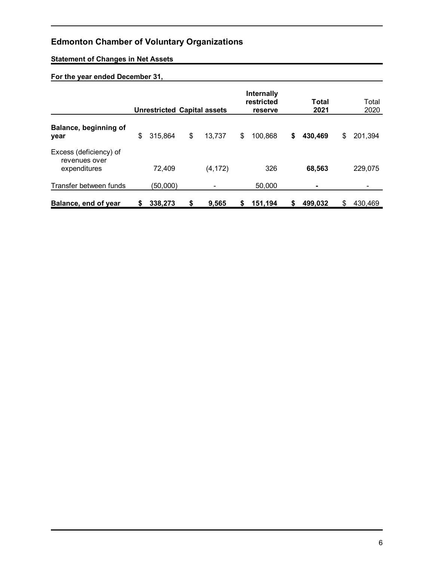# **Statement of Changes in Net Assets**

# **For the year ended December 31,**

|                                                         |    | <b>Unrestricted Capital assets</b> |              |    | Internally<br>restricted<br>reserve |    | Total<br>2021 | Total<br>2020 |
|---------------------------------------------------------|----|------------------------------------|--------------|----|-------------------------------------|----|---------------|---------------|
| Balance, beginning of<br>year                           | \$ | 315,864                            | \$<br>13,737 | \$ | 100,868                             | \$ | 430,469       | \$<br>201,394 |
| Excess (deficiency) of<br>revenues over<br>expenditures |    | 72,409                             | (4, 172)     |    | 326                                 |    | 68,563        | 229,075       |
| Transfer between funds                                  |    | (50,000)                           |              |    | 50,000                              |    |               |               |
| Balance, end of year                                    | S  | 338,273                            | \$<br>9.565  | S  | 151,194                             | S  | 499.032       | \$<br>430.469 |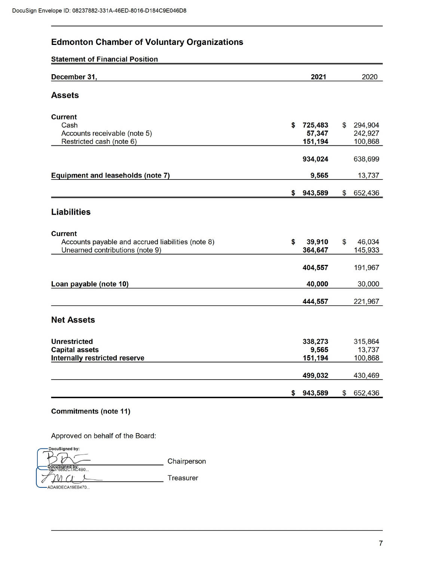**Statement of Financial Position** 

| December 31,                                                                                           | 2021                               |                           | 2020                          |
|--------------------------------------------------------------------------------------------------------|------------------------------------|---------------------------|-------------------------------|
| <b>Assets</b>                                                                                          |                                    |                           |                               |
| <b>Current</b><br>Cash<br>Accounts receivable (note 5)<br>Restricted cash (note 6)                     | \$<br>725,483<br>57,347<br>151,194 | $\mathbf{\$}$             | 294,904<br>242,927<br>100,868 |
|                                                                                                        | 934,024                            |                           | 638,699                       |
| <b>Equipment and leaseholds (note 7)</b>                                                               | 9,565                              |                           | 13,737                        |
|                                                                                                        | \$<br>943,589                      | \$                        | 652,436                       |
| <b>Liabilities</b>                                                                                     |                                    |                           |                               |
| <b>Current</b><br>Accounts payable and accrued liabilities (note 8)<br>Unearned contributions (note 9) | \$<br>39,910<br>364,647            | $\boldsymbol{\mathsf{S}}$ | 46,034<br>145,933             |
|                                                                                                        | 404,557                            |                           | 191,967                       |
| Loan payable (note 10)                                                                                 | 40,000                             |                           | 30,000                        |
|                                                                                                        | 444,557                            |                           | 221,967                       |
| <b>Net Assets</b>                                                                                      |                                    |                           |                               |
| <b>Unrestricted</b><br><b>Capital assets</b><br><b>Internally restricted reserve</b>                   | 338,273<br>9,565<br>151,194        |                           | 315,864<br>13,737<br>100,868  |
|                                                                                                        | 499,032                            |                           | 430,469                       |
|                                                                                                        | \$<br>943,589                      | \$                        | 652,436                       |

# **Commitments (note 11)**

Approved on behalf of the Board:

| DocuSigned by:        |             |
|-----------------------|-------------|
|                       | Chairperson |
| $\epsilon$ 893C7AC4B0 |             |
|                       | Treasurer   |
| ADA9DECA19EB470       |             |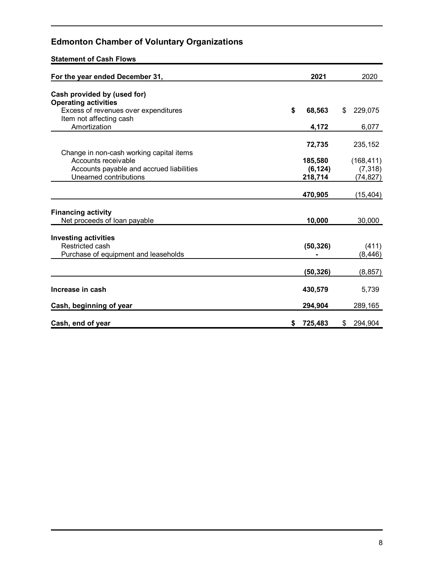**Statement of Cash Flows**

| For the year ended December 31,                                 | 2021          | 2020          |
|-----------------------------------------------------------------|---------------|---------------|
| Cash provided by (used for)<br><b>Operating activities</b>      |               |               |
| Excess of revenues over expenditures<br>Item not affecting cash | \$<br>68,563  | \$<br>229,075 |
| Amortization                                                    | 4,172         | 6,077         |
| Change in non-cash working capital items                        | 72,735        | 235,152       |
| Accounts receivable                                             | 185,580       | (168, 411)    |
| Accounts payable and accrued liabilities                        | (6, 124)      | (7, 318)      |
| Unearned contributions                                          | 218,714       | (74, 827)     |
|                                                                 | 470,905       | (15, 404)     |
| <b>Financing activity</b>                                       |               |               |
| Net proceeds of loan payable                                    | 10,000        | 30,000        |
| <b>Investing activities</b>                                     |               |               |
| Restricted cash                                                 | (50, 326)     | (411)         |
| Purchase of equipment and leaseholds                            |               | (8, 446)      |
|                                                                 | (50, 326)     | (8, 857)      |
| Increase in cash                                                | 430,579       | 5,739         |
| Cash, beginning of year                                         | 294,904       | 289,165       |
| Cash, end of year                                               | \$<br>725,483 | \$<br>294,904 |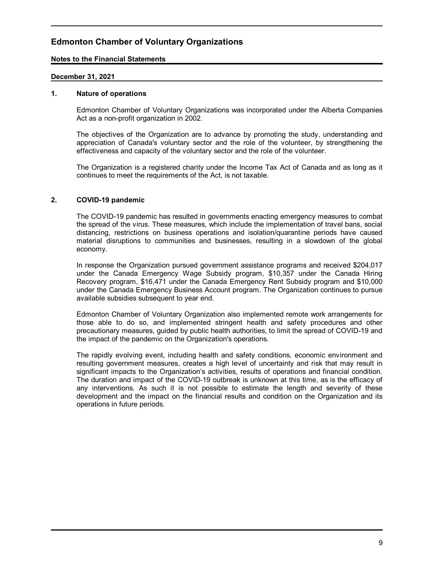### **Notes to the Financial Statements**

### **December 31, 2021**

#### **1. Nature of operations**

Edmonton Chamber of Voluntary Organizations was incorporated under the Alberta Companies Act as a non-profit organization in 2002.

The objectives of the Organization are to advance by promoting the study, understanding and appreciation of Canada's voluntary sector and the role of the volunteer, by strengthening the effectiveness and capacity of the voluntary sector and the role of the volunteer.

The Organization is a registered charity under the Income Tax Act of Canada and as long as it continues to meet the requirements of the Act, is not taxable.

### **2. COVID-19 pandemic**

The COVID-19 pandemic has resulted in governments enacting emergency measures to combat the spread of the virus. These measures, which include the implementation of travel bans, social distancing, restrictions on business operations and isolation/quarantine periods have caused material disruptions to communities and businesses, resulting in a slowdown of the global economy.

In response the Organization pursued government assistance programs and received \$204,017 under the Canada Emergency Wage Subsidy program, \$10,357 under the Canada Hiring Recovery program, \$16,471 under the Canada Emergency Rent Subsidy program and \$10,000 under the Canada Emergency Business Account program. The Organization continues to pursue available subsidies subsequent to year end.

Edmonton Chamber of Voluntary Organization also implemented remote work arrangements for those able to do so, and implemented stringent health and safety procedures and other precautionary measures, guided by public health authorities, to limit the spread of COVID-19 and the impact of the pandemic on the Organization's operations.

The rapidly evolving event, including health and safety conditions, economic environment and resulting government measures, creates a high level of uncertainty and risk that may result in significant impacts to the Organization's activities, results of operations and financial condition. The duration and impact of the COVID-19 outbreak is unknown at this time, as is the efficacy of any interventions. As such it is not possible to estimate the length and severity of these development and the impact on the financial results and condition on the Organization and its operations in future periods.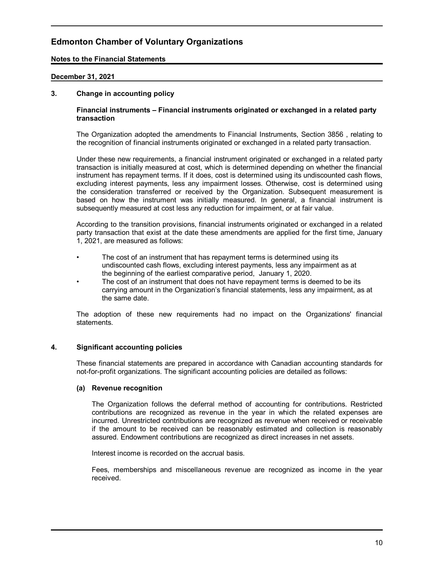### **Notes to the Financial Statements**

### **December 31, 2021**

### **3. Change in accounting policy**

#### **Financial instruments – Financial instruments originated or exchanged in a related party transaction**

The Organization adopted the amendments to Financial Instruments, Section 3856 , relating to the recognition of financial instruments originated or exchanged in a related party transaction.

Under these new requirements, a financial instrument originated or exchanged in a related party transaction is initially measured at cost, which is determined depending on whether the financial instrument has repayment terms. If it does, cost is determined using its undiscounted cash flows, excluding interest payments, less any impairment losses. Otherwise, cost is determined using the consideration transferred or received by the Organization. Subsequent measurement is based on how the instrument was initially measured. In general, a financial instrument is subsequently measured at cost less any reduction for impairment, or at fair value.

According to the transition provisions, financial instruments originated or exchanged in a related party transaction that exist at the date these amendments are applied for the first time, January 1, 2021, are measured as follows:

- The cost of an instrument that has repayment terms is determined using its undiscounted cash flows, excluding interest payments, less any impairment as at the beginning of the earliest comparative period, January 1, 2020.
- The cost of an instrument that does not have repayment terms is deemed to be its carrying amount in the Organization's financial statements, less any impairment, as at the same date.

The adoption of these new requirements had no impact on the Organizations' financial statements.

#### **4. Significant accounting policies**

These financial statements are prepared in accordance with Canadian accounting standards for not-for-profit organizations. The significant accounting policies are detailed as follows:

#### **(a) Revenue recognition**

The Organization follows the deferral method of accounting for contributions. Restricted contributions are recognized as revenue in the year in which the related expenses are incurred. Unrestricted contributions are recognized as revenue when received or receivable if the amount to be received can be reasonably estimated and collection is reasonably assured. Endowment contributions are recognized as direct increases in net assets.

Interest income is recorded on the accrual basis.

Fees, memberships and miscellaneous revenue are recognized as income in the year received.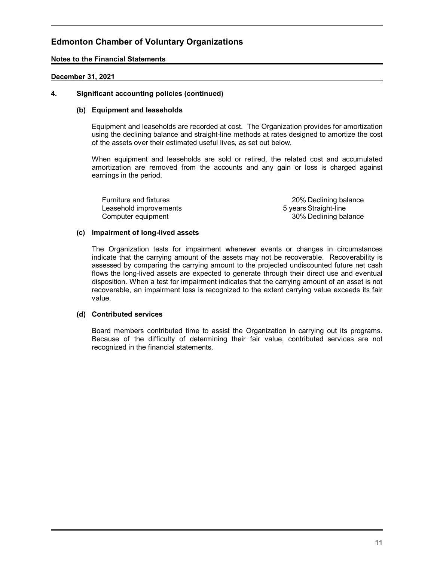### **Notes to the Financial Statements**

### **December 31, 2021**

### **4. Significant accounting policies (continued)**

### **(b) Equipment and leaseholds**

Equipment and leaseholds are recorded at cost. The Organization provides for amortization using the declining balance and straight-line methods at rates designed to amortize the cost of the assets over their estimated useful lives, as set out below.

When equipment and leaseholds are sold or retired, the related cost and accumulated amortization are removed from the accounts and any gain or loss is charged against earnings in the period.

Leasehold improvements 6 years Straight-line

Furniture and fixtures **20% Declining balance** Computer equipment 30% Declining balance

#### **(c) Impairment of long-lived assets**

The Organization tests for impairment whenever events or changes in circumstances indicate that the carrying amount of the assets may not be recoverable. Recoverability is assessed by comparing the carrying amount to the projected undiscounted future net cash flows the long-lived assets are expected to generate through their direct use and eventual disposition. When a test for impairment indicates that the carrying amount of an asset is not recoverable, an impairment loss is recognized to the extent carrying value exceeds its fair value.

#### **(d) Contributed services**

Board members contributed time to assist the Organization in carrying out its programs. Because of the difficulty of determining their fair value, contributed services are not recognized in the financial statements.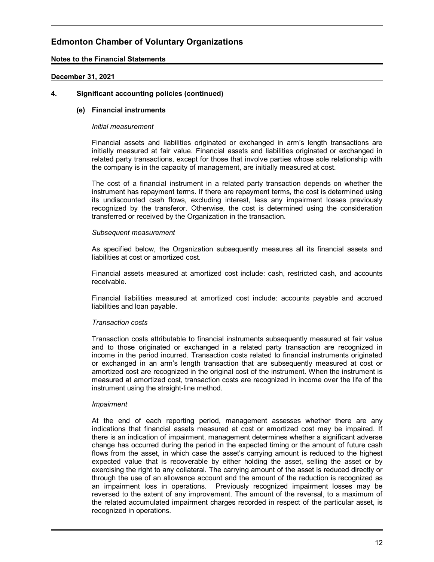### **Notes to the Financial Statements**

### **December 31, 2021**

### **4. Significant accounting policies (continued)**

### **(e) Financial instruments**

#### *Initial measurement*

Financial assets and liabilities originated or exchanged in arm's length transactions are initially measured at fair value. Financial assets and liabilities originated or exchanged in related party transactions, except for those that involve parties whose sole relationship with the company is in the capacity of management, are initially measured at cost.

The cost of a financial instrument in a related party transaction depends on whether the instrument has repayment terms. If there are repayment terms, the cost is determined using its undiscounted cash flows, excluding interest, less any impairment losses previously recognized by the transferor. Otherwise, the cost is determined using the consideration transferred or received by the Organization in the transaction.

#### *Subsequent measurement*

As specified below, the Organization subsequently measures all its financial assets and liabilities at cost or amortized cost.

Financial assets measured at amortized cost include: cash, restricted cash, and accounts receivable.

Financial liabilities measured at amortized cost include: accounts payable and accrued liabilities and loan payable.

#### *Transaction costs*

Transaction costs attributable to financial instruments subsequently measured at fair value and to those originated or exchanged in a related party transaction are recognized in income in the period incurred. Transaction costs related to financial instruments originated or exchanged in an arm's length transaction that are subsequently measured at cost or amortized cost are recognized in the original cost of the instrument. When the instrument is measured at amortized cost, transaction costs are recognized in income over the life of the instrument using the straight-line method.

#### *Impairment*

At the end of each reporting period, management assesses whether there are any indications that financial assets measured at cost or amortized cost may be impaired. If there is an indication of impairment, management determines whether a significant adverse change has occurred during the period in the expected timing or the amount of future cash flows from the asset, in which case the asset's carrying amount is reduced to the highest expected value that is recoverable by either holding the asset, selling the asset or by exercising the right to any collateral. The carrying amount of the asset is reduced directly or through the use of an allowance account and the amount of the reduction is recognized as an impairment loss in operations. Previously recognized impairment losses may be reversed to the extent of any improvement. The amount of the reversal, to a maximum of the related accumulated impairment charges recorded in respect of the particular asset, is recognized in operations.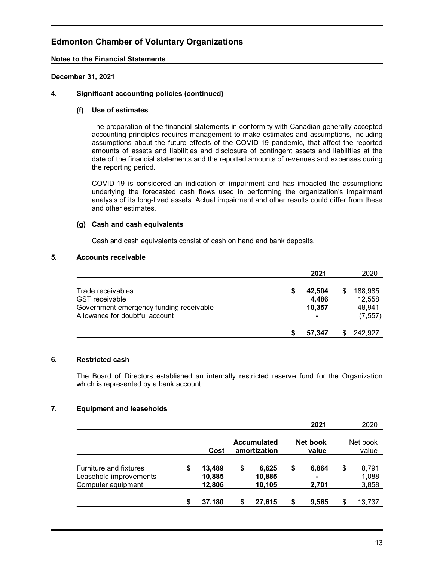### **Notes to the Financial Statements**

### **December 31, 2021**

## **4. Significant accounting policies (continued)**

### **(f) Use of estimates**

The preparation of the financial statements in conformity with Canadian generally accepted accounting principles requires management to make estimates and assumptions, including assumptions about the future effects of the COVID-19 pandemic, that affect the reported amounts of assets and liabilities and disclosure of contingent assets and liabilities at the date of the financial statements and the reported amounts of revenues and expenses during the reporting period.

COVID-19 is considered an indication of impairment and has impacted the assumptions underlying the forecasted cash flows used in performing the organization's impairment analysis of its long-lived assets. Actual impairment and other results could differ from these and other estimates.

### **(g) Cash and cash equivalents**

Cash and cash equivalents consist of cash on hand and bank deposits.

## **5. Accounts receivable**

|                                                                                                                         | 2021                      | 2020                                    |
|-------------------------------------------------------------------------------------------------------------------------|---------------------------|-----------------------------------------|
| Trade receivables<br><b>GST</b> receivable<br>Government emergency funding receivable<br>Allowance for doubtful account | 42,504<br>4,486<br>10,357 | 188,985<br>12,558<br>48,941<br>(7, 557) |
|                                                                                                                         | 57.347                    | 242,927                                 |

# **6. Restricted cash**

The Board of Directors established an internally restricted reserve fund for the Organization which is represented by a bank account.

#### **7. Equipment and leaseholds**

|                                                                               |                                  |    |                                    | 2021                      | 2020                          |
|-------------------------------------------------------------------------------|----------------------------------|----|------------------------------------|---------------------------|-------------------------------|
|                                                                               | Cost                             |    | <b>Accumulated</b><br>amortization | Net book<br>value         | Net book<br>value             |
| <b>Furniture and fixtures</b><br>Leasehold improvements<br>Computer equipment | \$<br>13,489<br>10,885<br>12,806 | \$ | 6,625<br>10,885<br>10,105          | \$<br>6.864<br>۰<br>2,701 | \$<br>8,791<br>1,088<br>3,858 |
|                                                                               | 37,180                           | S  | 27,615                             | 9,565                     | 13,737                        |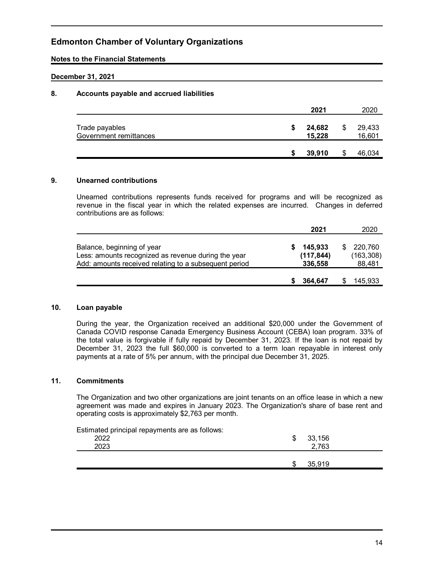### **Notes to the Financial Statements**

### **December 31, 2021**

## **8. Accounts payable and accrued liabilities**

|                                          |   | 2021             |   | 2020             |
|------------------------------------------|---|------------------|---|------------------|
| Trade payables<br>Government remittances | S | 24,682<br>15,228 | S | 29,433<br>16,601 |
|                                          |   | 39,910           |   | 46,034           |

## **9. Unearned contributions**

Unearned contributions represents funds received for programs and will be recognized as revenue in the fiscal year in which the related expenses are incurred. Changes in deferred contributions are as follows:

|                                                                                                                                            | 2021                             | 2020                            |
|--------------------------------------------------------------------------------------------------------------------------------------------|----------------------------------|---------------------------------|
| Balance, beginning of year<br>Less: amounts recognized as revenue during the year<br>Add: amounts received relating to a subsequent period | 145,933<br>(117, 844)<br>336,558 | 220.760<br>(163, 308)<br>88,481 |
|                                                                                                                                            | 364.647                          | 145,933                         |

#### **10. Loan payable**

During the year, the Organization received an additional \$20,000 under the Government of Canada COVID response Canada Emergency Business Account (CEBA) loan program. 33% of the total value is forgivable if fully repaid by December 31, 2023. If the loan is not repaid by December 31, 2023 the full \$60,000 is converted to a term loan repayable in interest only payments at a rate of 5% per annum, with the principal due December 31, 2025.

#### **11. Commitments**

The Organization and two other organizations are joint tenants on an office lease in which a new agreement was made and expires in January 2023. The Organization's share of base rent and operating costs is approximately \$2,763 per month.

| Estimated principal repayments are as follows: |        |  |
|------------------------------------------------|--------|--|
| 2022                                           | 33,156 |  |
| 2023                                           | 2,763  |  |
|                                                |        |  |
|                                                | 35.919 |  |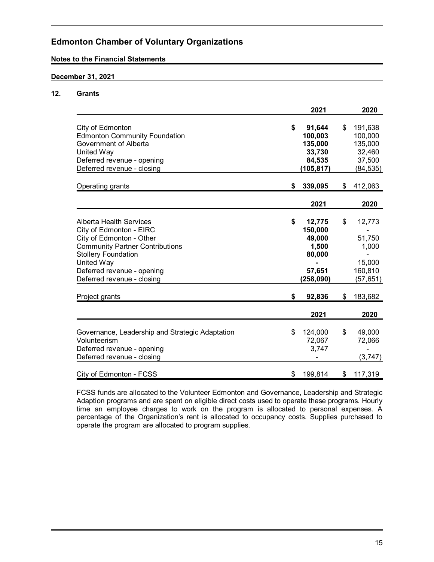### **Notes to the Financial Statements**

## **December 31, 2021**

## **12. Grants**

|                                                                    | 2021            | 2020               |
|--------------------------------------------------------------------|-----------------|--------------------|
|                                                                    | \$<br>91,644    | \$                 |
| City of Edmonton<br><b>Edmonton Community Foundation</b>           | 100,003         | 191,638<br>100,000 |
| Government of Alberta                                              | 135,000         | 135,000            |
| United Way                                                         | 33,730          | 32,460             |
| Deferred revenue - opening                                         | 84,535          | 37,500             |
| Deferred revenue - closing                                         | (105, 817)      | (84, 535)          |
|                                                                    |                 |                    |
| Operating grants                                                   | \$<br>339,095   | \$<br>412,063      |
|                                                                    |                 |                    |
|                                                                    | 2021            | 2020               |
|                                                                    |                 |                    |
| Alberta Health Services                                            | \$<br>12,775    | \$<br>12,773       |
| City of Edmonton - EIRC                                            | 150,000         |                    |
| City of Edmonton - Other<br><b>Community Partner Contributions</b> | 49,000<br>1,500 | 51,750<br>1,000    |
| <b>Stollery Foundation</b>                                         | 80,000          |                    |
| United Way                                                         |                 | 15,000             |
| Deferred revenue - opening                                         | 57,651          | 160,810            |
| Deferred revenue - closing                                         | (258,090)       | (57, 651)          |
|                                                                    |                 |                    |
| Project grants                                                     | \$<br>92,836    | \$<br>183,682      |
|                                                                    |                 |                    |
|                                                                    | 2021            | 2020               |
|                                                                    |                 |                    |
| Governance, Leadership and Strategic Adaptation                    | \$<br>124,000   | \$<br>49,000       |
| Volunteerism                                                       | 72,067          | 72,066             |
| Deferred revenue - opening                                         | 3,747           |                    |
| Deferred revenue - closing                                         |                 | (3, 747)           |
| City of Edmonton - FCSS                                            | \$<br>199,814   | \$<br>117,319      |

FCSS funds are allocated to the Volunteer Edmonton and Governance, Leadership and Strategic Adaption programs and are spent on eligible direct costs used to operate these programs. Hourly time an employee charges to work on the program is allocated to personal expenses. A percentage of the Organization's rent is allocated to occupancy costs. Supplies purchased to operate the program are allocated to program supplies.